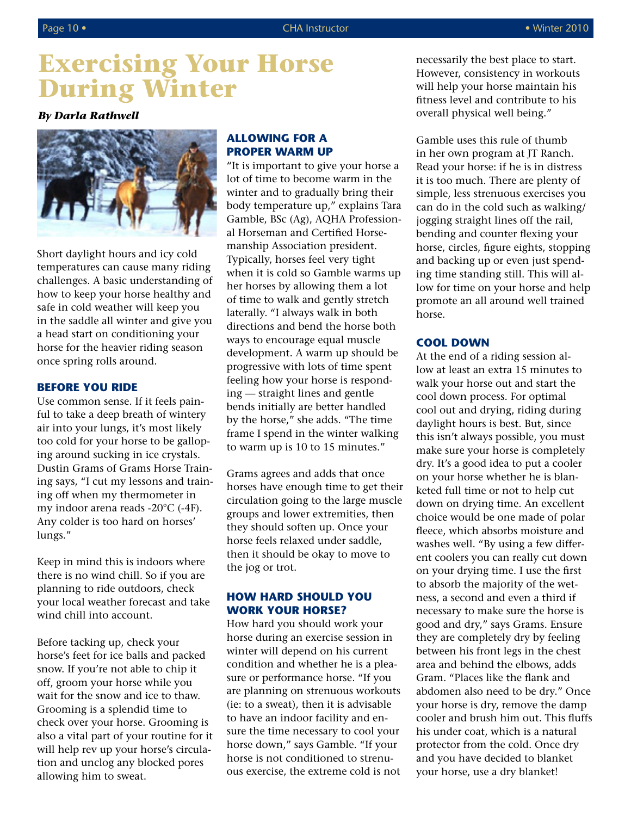# **Exercising Your Horse During Winter**

### *By Darla Rathwell*



Short daylight hours and icy cold temperatures can cause many riding challenges. A basic understanding of how to keep your horse healthy and safe in cold weather will keep you in the saddle all winter and give you a head start on conditioning your horse for the heavier riding season once spring rolls around.

#### **BEFORE YOU RIDE**

Use common sense. If it feels painful to take a deep breath of wintery air into your lungs, it's most likely too cold for your horse to be galloping around sucking in ice crystals. Dustin Grams of Grams Horse Training says, "I cut my lessons and training off when my thermometer in my indoor arena reads -20°C (-4F). Any colder is too hard on horses' lungs."

Keep in mind this is indoors where there is no wind chill. So if you are planning to ride outdoors, check your local weather forecast and take wind chill into account.

Before tacking up, check your horse's feet for ice balls and packed snow. If you're not able to chip it off, groom your horse while you wait for the snow and ice to thaw. Grooming is a splendid time to check over your horse. Grooming is also a vital part of your routine for it will help rev up your horse's circulation and unclog any blocked pores allowing him to sweat.

# **ALLOWING FOR A PROPER WARM UP**

"It is important to give your horse a lot of time to become warm in the winter and to gradually bring their body temperature up," explains Tara Gamble, BSc (Ag), AQHA Professional Horseman and Certified Horsemanship Association president. Typically, horses feel very tight when it is cold so Gamble warms up her horses by allowing them a lot of time to walk and gently stretch laterally. "I always walk in both directions and bend the horse both ways to encourage equal muscle development. A warm up should be progressive with lots of time spent feeling how your horse is responding — straight lines and gentle bends initially are better handled by the horse," she adds. "The time frame I spend in the winter walking to warm up is 10 to 15 minutes."

Grams agrees and adds that once horses have enough time to get their circulation going to the large muscle groups and lower extremities, then they should soften up. Once your horse feels relaxed under saddle, then it should be okay to move to the jog or trot.

### **HOW HARD SHOULD YOU WORK YOUR HORSE?**

How hard you should work your horse during an exercise session in winter will depend on his current condition and whether he is a pleasure or performance horse. "If you are planning on strenuous workouts (ie: to a sweat), then it is advisable to have an indoor facility and ensure the time necessary to cool your horse down," says Gamble. "If your horse is not conditioned to strenuous exercise, the extreme cold is not necessarily the best place to start. However, consistency in workouts will help your horse maintain his fitness level and contribute to his overall physical well being."

Gamble uses this rule of thumb in her own program at JT Ranch. Read your horse: if he is in distress it is too much. There are plenty of simple, less strenuous exercises you can do in the cold such as walking/ jogging straight lines off the rail, bending and counter flexing your horse, circles, figure eights, stopping and backing up or even just spending time standing still. This will allow for time on your horse and help promote an all around well trained horse.

### **COOL DOWN**

At the end of a riding session allow at least an extra 15 minutes to walk your horse out and start the cool down process. For optimal cool out and drying, riding during daylight hours is best. But, since this isn't always possible, you must make sure your horse is completely dry. It's a good idea to put a cooler on your horse whether he is blanketed full time or not to help cut down on drying time. An excellent choice would be one made of polar fleece, which absorbs moisture and washes well. "By using a few different coolers you can really cut down on your drying time. I use the first to absorb the majority of the wetness, a second and even a third if necessary to make sure the horse is good and dry," says Grams. Ensure they are completely dry by feeling between his front legs in the chest area and behind the elbows, adds Gram. "Places like the flank and abdomen also need to be dry." Once your horse is dry, remove the damp cooler and brush him out. This fluffs his under coat, which is a natural protector from the cold. Once dry and you have decided to blanket your horse, use a dry blanket!